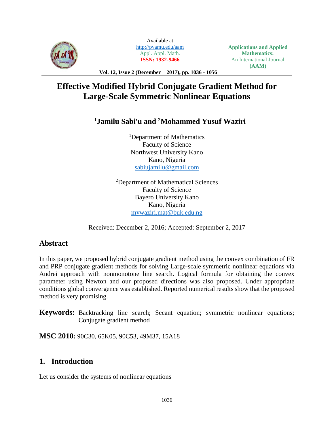

Available at <http://pvamu.edu/aam> Appl. Appl. Math. **ISSN: 1932-9466**

**Applications and Applied Mathematics:** An International Journal **(AAM)**

**Vol. 12, Issue 2 (December 2017), pp. 1036 - 1056**

# **Effective Modified Hybrid Conjugate Gradient Method for Large-Scale Symmetric Nonlinear Equations**

## **<sup>1</sup>Jamilu Sabi'u and <sup>2</sup>Mohammed Yusuf Waziri**

<sup>1</sup>Department of Mathematics Faculty of Science Northwest University Kano Kano, Nigeria [sabiujamilu@gmail.com](mailto:sabiujamilu@gmail.com)

<sup>2</sup>Department of Mathematical Sciences Faculty of Science Bayero University Kano Kano, Nigeria [mywaziri.mat@buk.edu.ng](mailto:mywaziri.mat@buk.edu.ng)

Received: December 2, 2016; Accepted: September 2, 2017

## **Abstract**

In this paper, we proposed hybrid conjugate gradient method using the convex combination of FR and PRP conjugate gradient methods for solving Large-scale symmetric nonlinear equations via Andrei approach with nonmonotone line search. Logical formula for obtaining the convex parameter using Newton and our proposed directions was also proposed. Under appropriate conditions global convergence was established. Reported numerical results show that the proposed method is very promising.

**Keywords:** Backtracking line search; Secant equation; symmetric nonlinear equations; Conjugate gradient method

**MSC 2010:** 90C30, 65K05, 90C53, 49M37, 15A18

## **1. Introduction**

Let us consider the systems of nonlinear equations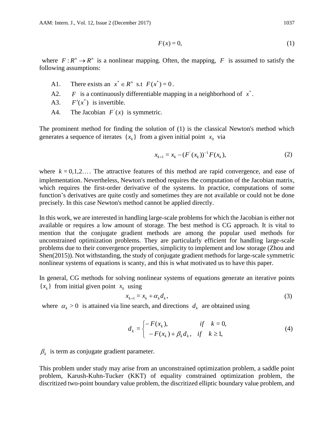$$
F(x) = 0,\t\t(1)
$$

where  $F: R^n \to R^n$  is a nonlinear mapping. Often, the mapping, F is assumed to satisfy the following assumptions:

- A1. There exists an  $x^* \in R^n$  s.t  $F(x^*) = 0$ .
- A2. *F* is a continuously differentiable mapping in a neighborhood of  $x^*$ .
- A3.  $F'(x^*)$  is invertible.
- A4. The Jacobian  $F(x)$  is symmetric.

The prominent method for finding the solution of (1) is the classical Newton's method which generates a sequence of iterates  $\{x_k\}$  from a given initial point  $x_0$  via

$$
x_{k+1} = x_k - (F'(x_k))^{-1} F(x_k),
$$
\n(2)

where  $k = 0, 1, 2, \ldots$  The attractive features of this method are rapid convergence, and ease of implementation. Nevertheless, Newton's method requires the computation of the Jacobian matrix, which requires the first-order derivative of the systems. In practice, computations of some function's derivatives are quite costly and sometimes they are not available or could not be done precisely. In this case Newton's method cannot be applied directly.

In this work, we are interested in handling large-scale problems for which the Jacobian is either not available or requires a low amount of storage. The best method is CG approach. It is vital to mention that the conjugate gradient methods are among the popular used methods for unconstrained optimization problems. They are particularly efficient for handling large-scale problems due to their convergence properties, simplicity to implement and low storage (Zhou and Shen(2015)). Not withstanding, the study of conjugate gradient methods for large-scale symmetric nonlinear systems of equations is scanty, and this is what motivated us to have this paper.

In general, CG methods for solving nonlinear systems of equations generate an iterative points  ${x<sub>k</sub>}$  from initial given point  $x<sub>0</sub>$  using

$$
x_{k+1} = x_k + \alpha_k d_k, \tag{3}
$$

where  $\alpha_k > 0$  is attained via line search, and directions  $d_k$  are obtained using

$$
d_k = \begin{cases} -F(x_k), & \text{if } k = 0, \\ -F(x_k) + \beta_k d_k, & \text{if } k \ge 1, \end{cases} \tag{4}
$$

 $\beta_k$  is term as conjugate gradient parameter.

This problem under study may arise from an unconstrained optimization problem, a saddle point problem, Karush-Kuhn-Tucker (KKT) of equality constrained optimization problem, the discritized two-point boundary value problem, the discritized elliptic boundary value problem, and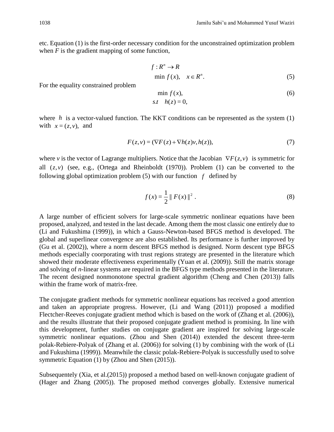etc. Equation (1) is the first-order necessary condition for the unconstrained optimization problem when *F* is the gradient mapping of some function,

$$
f: R^n \to R
$$
  
min  $f(x)$ ,  $x \in R^n$ . (5)

For the equality constrained problem

$$
\min f(x),
$$
  
s.t  $h(z) = 0,$  (6)

where  $h$  is a vector-valued function. The KKT conditions can be represented as the system  $(1)$ with  $x = (z, v)$ , and

$$
F(z, v) = (\nabla F(z) + \nabla h(z)v, h(z)),\tag{7}
$$

where *v* is the vector of Lagrange multipliers. Notice that the Jacobian  $\nabla F(z, v)$  is symmetric for all  $(z, v)$  (see, e.g., (Ortega and Rheinboldt (1970)). Problem (1) can be converted to the following global optimization problem  $(5)$  with our function  $f$  defined by

$$
f(x) = \frac{1}{2} || F(x) ||^2 .
$$
 (8)

A large number of efficient solvers for large-scale symmetric nonlinear equations have been proposed, analyzed, and tested in the last decade. Among them the most classic one entirely due to (Li and Fukushima (1999)), in which a Gauss-Newton-based BFGS method is developed. The global and superlinear convergence are also established. Its performance is further improved by (Gu et al. (2002)), where a norm descent BFGS method is designed. Norm descent type BFGS methods especially coorporating with trust regions strategy are presented in the literature which showed their moderate effectiveness experimentally (Yuan et al. (2009)). Still the matrix storage and solving of *n*-linear systems are required in the BFGS type methods presented in the literature. The recent designed nonmonotone spectral gradient algorithm (Cheng and Chen (2013)) falls within the frame work of matrix-free.

The conjugate gradient methods for symmetric nonlinear equations has received a good attention and taken an appropriate progress. However, (Li and Wang (2011)) proposed a modified Flectcher-Reeves conjugate gradient method which is based on the work of (Zhang et al. (2006)), and the results illustrate that their proposed conjugate gradient method is promising. In line with this development, further studies on conjugate gradient are inspired for solving large-scale symmetric nonlinear equations. (Zhou and Shen (2014)) extended the descent three-term polak-Rebiere-Polyak of (Zhang et al. (2006)) for solving (1) by combining with the work of (Li and Fukushima (1999)). Meanwhile the classic polak-Rebiere-Polyak is successfully used to solve symmetric Equation (1) by (Zhou and Shen (2015)).

Subsequentely (Xia, et al.(2015)) proposed a method based on well-known conjugate gradient of (Hager and Zhang (2005)). The proposed method converges globally. Extensive numerical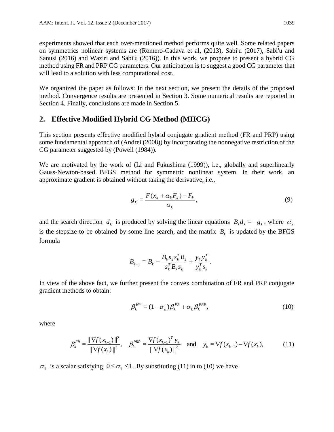experiments showed that each over-mentioned method performs quite well. Some related papers on symmetrics nolinear systems are (Romero-Cadava et al, (2013), Sabi'u (2017), Sabi'u and Sanusi (2016) and Waziri and Sabi'u (2016)). In this work, we propose to present a hybrid CG method using FR and PRP CG parameters. Our anticipation is to suggest a good CG parameter that will lead to a solution with less computational cost.

We organized the paper as follows: In the next section, we present the details of the proposed method. Convergence results are presented in Section 3. Some numerical results are reported in Section 4. Finally, conclusions are made in Section 5.

## **2. Effective Modified Hybrid CG Method (MHCG)**

This section presents effective modified hybrid conjugate gradient method (FR and PRP) using some fundamental approach of (Andrei (2008)) by incorporating the nonnegative restriction of the CG parameter suggested by (Powell (1984)).

We are motivated by the work of (Li and Fukushima (1999)), i.e., globally and superlinearly Gauss-Newton-based BFGS method for symmetric nonlinear system. In their work, an approximate gradient is obtained without taking the derivative, i.e.,

$$
g_k = \frac{F(x_k + \alpha_k F_k) - F_k}{\alpha_k},\tag{9}
$$

and the search direction  $d_k$  is produced by solving the linear equations  $B_k d_k = -g_k$ , where  $\alpha_k$ is the stepsize to be obtained by some line search, and the matrix  $B_k$  is updated by the BFGS formula

$$
B_{k+1} = B_k - \frac{B_k s_k s_k^T B_k}{s_k^T B_k s_k} + \frac{y_k y_k^T}{y_k^T s_k}.
$$

In view of the above fact, we further present the convex combination of FR and PRP conjugate gradient methods to obtain:

$$
\beta_k^{H^*} = (1 - \sigma_k) \beta_k^{FR} + \sigma_k \beta_k^{PRP}, \qquad (10)
$$

where

$$
\beta_k^{FR} = \frac{\|\nabla f(x_{k+1})\|^2}{\|\nabla f(x_k)\|^2}, \quad \beta_k^{PRP} = \frac{\nabla f(x_{k+1})^T y_k}{\|\nabla f(x_k)\|^2} \quad \text{and} \quad y_k = \nabla f(x_{k+1}) - \nabla f(x_k), \tag{11}
$$

 $\sigma_k$  is a scalar satisfying  $0 \leq \sigma_k \leq 1$ . By substituting (11) in to (10) we have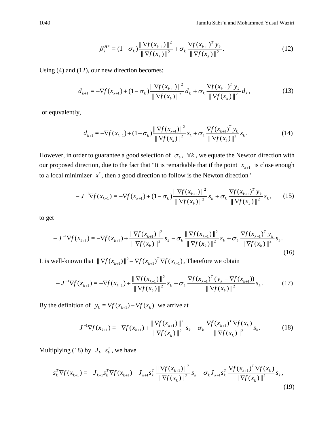$$
\beta_k^{H^*} = (1 - \sigma_k) \frac{\|\nabla f(x_{k+1})\|^2}{\|\nabla f(x_k)\|^2} + \sigma_k \frac{\nabla f(x_{k+1})^T y_k}{\|\nabla f(x_k)\|^2}.
$$
\n(12)

Using (4) and (12), our new direction becomes:

$$
d_{k+1} = -\nabla f(x_{k+1}) + (1 - \sigma_k) \frac{\|\nabla f(x_{k+1})\|^2}{\|\nabla f(x_k)\|^2} d_k + \sigma_k \frac{\nabla f(x_{k+1})^T y_k}{\|\nabla f(x_k)\|^2} d_k,
$$
\n(13)

or equvalently,

$$
d_{k+1} = -\nabla f(x_{k+1}) + (1 - \sigma_k) \frac{\|\nabla f(x_{k+1})\|^2}{\|\nabla f(x_k)\|^2} s_k + \sigma_k \frac{\nabla f(x_{k+1})^T y_k}{\|\nabla f(x_k)\|^2} s_k.
$$
 (14)

However, in order to guarantee a good selection of  $\sigma_k$ ,  $\forall k$ , we equate the Newton direction with our proposed direction, due to the fact that "It is remarkable that if the point  $x_{k+1}$  is close enough to a local minimizer  $x^*$ , then a good direction to follow is the Newton direction"

$$
-J^{-1}\nabla f(x_{k+1}) = -\nabla f(x_{k+1}) + (1 - \sigma_k) \frac{\|\nabla f(x_{k+1})\|^2}{\|\nabla f(x_k)\|^2} s_k + \sigma_k \frac{\nabla f(x_{k+1})^T y_k}{\|\nabla f(x_k)\|^2} s_k, \quad (15)
$$

to get

$$
-J^{-1}\nabla f(x_{k+1}) = -\nabla f(x_{k+1}) + \frac{\|\nabla f(x_{k+1})\|^2}{\|\nabla f(x_k)\|^2} s_k - \sigma_k \frac{\|\nabla f(x_{k+1})\|^2}{\|\nabla f(x_k)\|^2} s_k + \sigma_k \frac{\nabla f(x_{k+1})^T y_k}{\|\nabla f(x_k)\|^2} s_k.
$$
\n(16)

It is well-known that  $\|\nabla f(x_{k+1})\|^2 = \nabla f(x_{k+1})^T \nabla f(x_{k+1})$  $\int f(x_{k+1})|^2 = \nabla f(x_{k+1})^T \nabla f(x_{k+1})$ , Therefore we obtain

$$
-J^{-1}\nabla f(x_{k+1}) = -\nabla f(x_{k+1}) + \frac{\|\nabla f(x_{k+1})\|^2}{\|\nabla f(x_k)\|^2} s_k + \sigma_k \frac{\nabla f(x_{k+1})^T (y_k - \nabla f(x_{k+1}))}{\|\nabla f(x_k)\|^2} s_k.
$$
 (17)

By the definition of  $y_k = \nabla f(x_{k+1}) - \nabla f(x_k)$  we arrive at

$$
-J^{-1}\nabla f(x_{k+1}) = -\nabla f(x_{k+1}) + \frac{\|\nabla f(x_{k+1})\|^2}{\|\nabla f(x_k)\|^2} s_k - \sigma_k \frac{\nabla f(x_{k+1})^T \nabla f(x_k)}{\|\nabla f(x_k)\|^2} s_k.
$$
 (18)

Multiplying (18) by  $J_{k+1} s_k^T$  $J_{k+1}$  $s_k^T$ , we have

$$
-s_k^T \nabla f(x_{k+1}) = -J_{k+1} s_k^T \nabla f(x_{k+1}) + J_{k+1} s_k^T \frac{\|\nabla f(x_{k+1})\|^2}{\|\nabla f(x_k)\|^2} s_k - \sigma_k J_{k+1} s_k^T \frac{\nabla f(x_{k+1})^T \nabla f(x_k)}{\|\nabla f(x_k)\|^2} s_k,
$$
\n(19)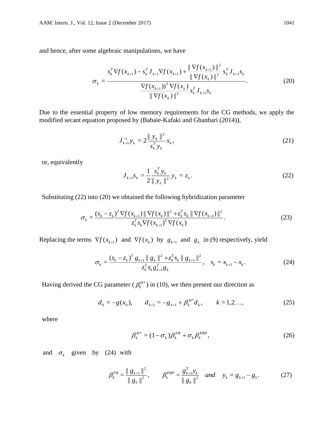and hence, after some algebraic manipulations, we have

$$
\sigma_{k} = \frac{s_{k}^{T} \nabla f(x_{k+1}) - s_{k}^{T} J_{k+1} \nabla f(x_{k+1}) + \frac{\|\nabla f(x_{k+1})\|^{2}}{\|\nabla f(x_{k})\|^{2}} s_{k}^{T} J_{k+1} s_{k}}{\frac{\nabla f(x_{k+1}) \nabla f(x_{k})}{\|\nabla f(x_{k})\|^{2}} s_{k}^{T} J_{k+1} s_{k}}.
$$
\n(20)

Due to the essential property of low memory requirements for the CG methods, we apply the modified secant equation proposed by (Babaie-Kafaki and Ghanbari (2014)),

$$
J_{k+1}^{-1} y_k = 2 \frac{\|y_k\|^2}{s_k^T y_k} s_k, \qquad (21)
$$

or, equivalently

$$
J_{k+1}S_k = \frac{1}{2} \frac{s_k^T y_k}{\|y_k\|^2} y_k = z_k.
$$
 (22)

Substituting (22) into (20) we obtained the following hybridization parameter

$$
\sigma_{k} = \frac{(s_{k} - z_{k})^{T} \nabla f(x_{k+1}) \|\nabla f(x_{k})\|^{2} + z_{k}^{T} s_{k} \|\nabla f(x_{k+1})\|^{2}}{z_{k}^{T} s_{k} \nabla f(x_{k+1})^{T} \nabla f(x_{k})}.
$$
\n(23)

Replacing the terms  $\nabla f(x_{k+1})$  and  $\nabla f(x_k)$  by  $g_{k+1}$  and  $g_k$  in (9) respectively, yield

$$
\sigma_{k} = \frac{(s_{k} - z_{k})^{T} g_{k+1} \| g_{k} \|^{2} + z_{k}^{T} s_{k} \| g_{k+1} \|^{2}}{z_{k}^{T} s_{k} g_{k+1}^{T} g_{k}}, \quad s_{k} = x_{k+1} - x_{k}.
$$
\n(24)

Having derived the CG parameter ( $\beta_k^{H*}$ ) in (10), we then present our direction as

$$
d_0 = -g(x_0), \qquad d_{k+1} = -g_{k+1} + \beta_k^{H^*} d_k, \qquad k = 1, 2, ..., \qquad (25)
$$

where

$$
\beta_k^{H^*} = (1 - \sigma_k) \beta_k^{FR} + \sigma_k \beta_k^{PRP}, \qquad (26)
$$

and  $\sigma_k$  given by (24) with

$$
\beta_k^{FR} = \frac{\|g_{k+1}\|^2}{\|g_k\|^2}, \qquad \beta_k^{PRP} = \frac{g_{k+1}^T y_k}{\|g_k\|^2} \quad and \quad y_k = g_{k+1} - g_k. \tag{27}
$$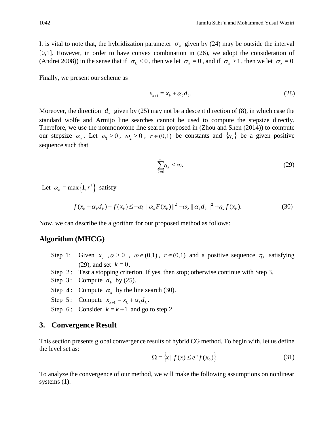It is vital to note that, the hybridization parameter  $\sigma_k$  given by (24) may be outside the interval [0,1]. However, in order to have convex combination in (26), we adopt the consideration of

(Andrei 2008)) in the sense that if  $\sigma_k < 0$ , then we let  $\sigma_k = 0$ , and if  $\sigma_k > 1$ , then we let  $\sigma_k = 0$ 

Finally, we present our scheme as

$$
x_{k+1} = x_k + \alpha_k d_k. \tag{28}
$$

Moreover, the direction  $d_k$  given by (25) may not be a descent direction of (8), in which case the standard wolfe and Armijo line searches cannot be used to compute the stepsize directly. Therefore, we use the nonmonotone line search proposed in (Zhou and Shen (2014)) to compute our stepsize  $\alpha_k$ . Let  $\omega_1 > 0$ ,  $\omega_2 > 0$ ,  $r \in (0,1)$  be constants and  $\{\eta_k\}$  be a given positive sequence such that

$$
\sum_{k=0}^{\infty} \eta_k < \infty. \tag{29}
$$

Let  $\alpha_k = \max\{1, r^k\}$  satisfy

$$
f(x_k + \alpha_k d_k) - f(x_k) \le -\omega_1 \| \alpha_k F(x_k) \|^2 - \omega_2 \| \alpha_k d_k \|^2 + \eta_k f(x_k). \tag{30}
$$

Now, we can describe the algorithm for our proposed method as follows:

#### **Algorithm (MHCG)**

- Step 1  $\therefore$  Given  $x_0$ ,  $\alpha > 0$ ,  $\omega \in (0,1)$ ,  $r \in (0,1)$  and a positive sequence  $\eta_k$  satisfying  $(29)$ , and set  $k = 0$ .
- Step 2: Test a stopping criterion. If yes, then stop; otherwise continue with Step 3.
- Step 3: Compute  $d_k$  by (25).
- Step 4: Compute  $\alpha_k$  by the line search (30).
- Step 5: Compute  $x_{k+1} = x_k + \alpha_k d_k$ .
- Step 6: Consider  $k = k + 1$  and go to step 2.

#### **3. Convergence Result**

This section presents global convergence results of hybrid CG method. To begin with, let us define the level set as:

$$
\Omega = \left\{ x \mid f(x) \le e^n f(x_0) \right\} \tag{31}
$$

To analyze the convergence of our method, we will make the following assumptions on nonlinear systems (1).

.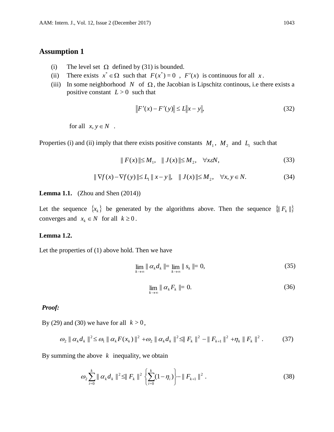## **Assumption 1**

- (i) The level set  $\Omega$  defined by (31) is bounded.
- (ii) There exists  $x^* \in \Omega$  such that  $F(x^*) = 0$ ,  $F'(x)$  is continuous for all x.
- (iii) In some neighborhood N of  $\Omega$ , the Jacobian is Lipschitz continous, i.e there exists a positive constant  $L > 0$  such that

$$
||F'(x) - F'(y)|| \le L||x - y||,
$$
\n(32)

for all  $x, y \in N$ .

Properties (i) and (ii) imply that there exists positive constants  $M_1$ ,  $M_2$  and  $L_1$  such that

$$
|| F(x) || \le M_1, || J(x) || \le M_2, \quad \forall x \in \mathbb{N}, \tag{33}
$$

$$
\|\nabla f(x) - \nabla f(y)\| \le L_1 \|x - y\|, \quad \|J(x)\| \le M_2, \quad \forall x, y \in N. \tag{34}
$$

#### **Lemma 1.1.** (Zhou and Shen (2014))

Let the sequence  $\{x_k\}$  be generated by the algorithms above. Then the sequence  $\{||F_k||\}$ converges and  $x_k \in N$  for all  $k \ge 0$ .

#### **Lemma 1.2.**

Let the properties of (1) above hold. Then we have

$$
\lim_{k \to \infty} \| \alpha_k d_k \| = \lim_{k \to \infty} \| s_k \| = 0,
$$
\n(35)

$$
\lim_{k \to \infty} \parallel \alpha_k F_k \parallel = 0. \tag{36}
$$

#### *Proof:*

By (29) and (30) we have for all  $k > 0$ ,

$$
\omega_2 \|\alpha_k d_k\|^2 \leq \omega_1 \|\alpha_k F(x_k)\|^2 + \omega_2 \|\alpha_k d_k\|^2 \leq \|F_k\|^2 - \|F_{k+1}\|^2 + \eta_k \|F_k\|^2. \tag{37}
$$

By summing the above  $k$  inequality, we obtain

$$
\omega_2 \sum_{i=0}^k \|\alpha_k d_k\|^2 \leq \|F_k\|^2 \left\{ \sum_{i=0}^k (1-\eta_i) \right\} - \|F_{k+1}\|^2 \ . \tag{38}
$$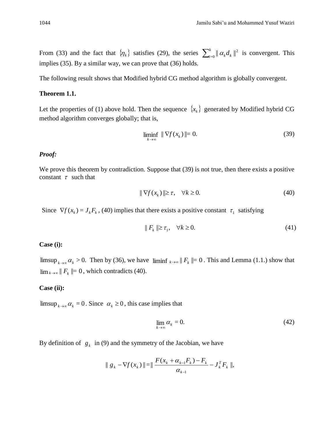From (33) and the fact that  $\{\eta_k\}$  satisfies (29), the series  $\sum_{i=0}^k ||\alpha_k d_k||^2$  $\sum_{i=0}^{k} ||\alpha_k d_k||^2$  is convergent. This implies (35). By a similar way, we can prove that (36) holds.

The following result shows that Modified hybrid CG method algorithm is globally convergent.

#### **Theorem 1.1.**

Let the properties of (1) above hold. Then the sequence  $\{x_k\}$  generated by Modified hybrid CG method algorithm converges globally; that is,

$$
\liminf_{k \to \infty} \|\nabla f(x_k)\| = 0. \tag{39}
$$

### *Proof:*

We prove this theorem by contradiction. Suppose that (39) is not true, then there exists a positive constant  $\tau$  such that

$$
\|\nabla f(x_k)\| \ge \tau, \quad \forall k \ge 0. \tag{40}
$$

Since  $\nabla f(x_k) = J_k F_k$ , (40) implies that there exists a positive constant  $\tau_1$  satisfying

$$
|| F_k || \ge \tau_1, \quad \forall k \ge 0. \tag{41}
$$

#### **Case (i):**

 $\limsup_{k\to\infty} \alpha_k > 0$ . Then by (36), we have  $\liminf_{k\to\infty} |F_k| = 0$ . This and Lemma (1.1.) show that  $\lim_{k\to\infty}$   $\|F_k\|=0$ , which contradicts (40).

#### **Case (ii):**

 $\limsup_{k\to\infty} \alpha_k = 0$ . Since  $\alpha_k \ge 0$ , this case implies that

$$
\lim_{k \to \infty} \alpha_k = 0. \tag{42}
$$

By definition of  $g_k$  in (9) and the symmetry of the Jacobian, we have

$$
\| g_k - \nabla f(x_k) \| = \| \frac{F(x_k + \alpha_{k-1} F_k) - F_k}{\alpha_{k-1}} - J_k^T F_k \|,
$$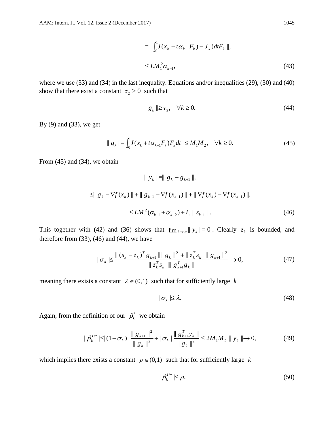$$
= \|\int_{0}^{1} J(x_{k} + t\alpha_{k-1}F_{k}) - J_{k} \, dtF_{k} \|,
$$
\n
$$
\leq LM_{1}^{2}\alpha_{k-1},
$$
\n(43)

where we use (33) and (34) in the last inequality. Equations and/or inequalities (29), (30) and (40) show that there exist a constant  $\tau_2 > 0$  such that

$$
\|g_k\| \ge \tau_2, \quad \forall k \ge 0. \tag{44}
$$

By (9) and (33), we get

$$
\| g_k \| = \int_0^1 J(x_k + t\alpha_{k-1} F_k) F_k dt \| \le M_1 M_2, \quad \forall k \ge 0.
$$
 (45)

From (45) and (34), we obtain

$$
\| y_{k} \| = \| g_{k} - g_{k+1} \|,
$$
  
\n
$$
\leq \| g_{k} - \nabla f(x_{k}) \| + \| g_{k-1} - \nabla f(x_{k-1}) \| + \| \nabla f(x_{k}) - \nabla f(x_{k-1}) \|,
$$
  
\n
$$
\leq LM_{1}^{2} (\alpha_{k-1} + \alpha_{k-2}) + L_{1} \| s_{k-1} \|.
$$
\n(46)

This together with (42) and (36) shows that  $\lim_{k\to\infty} ||y_k|| = 0$ . Clearly  $z_k$  is bounded, and therefore from  $(33)$ ,  $(46)$  and  $(44)$ , we have

$$
|\sigma_{k}| \leq \frac{\| (s_{k} - z_{k})^{T} g_{k+1} \| \| g_{k} \|^{2} + \| z_{k}^{T} s_{k} \| \| g_{k+1} \|^{2}}{\| z_{k}^{T} s_{k} \| \| g_{k+1}^{T} \|} \to 0,
$$
\n(47)

meaning there exists a constant  $\lambda \in (0,1)$  such that for sufficiently large k

$$
|\sigma_k| \le \lambda. \tag{48}
$$

Again, from the definition of our  $\beta_k^*$  we obtain

$$
|\beta_k^{H^*}| \leq (1 - \sigma_k) |\frac{\|g_{k+1}\|^2}{\|g_k\|^2} + |\sigma_k| \frac{\|g_{k+1}^T y_k\|}{\|g_k\|^2} \leq 2M_1 M_2 \|y_k\| \to 0,
$$
 (49)

which implies there exists a constant  $\rho \in (0,1)$  such that for sufficiently large k

$$
|\beta_k^{H^*}| \le \rho. \tag{50}
$$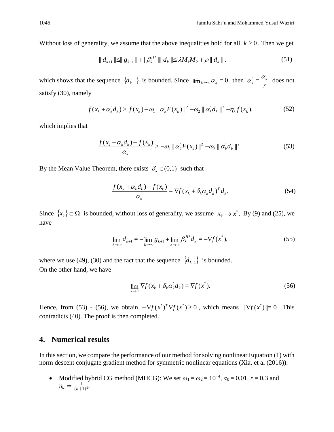Without loss of generality, we assume that the above inequalities hold for all  $k \geq 0$ . Then we get

$$
\| d_{k+1} \| \le \| g_{k+1} \| + | \beta_k^{H^*} \| d_k \| \le \lambda M_1 M_2 + \rho \| d_k \|,
$$
\n(51)

which shows that the sequence  $\{d_{k+1}\}\)$  is bounded. Since  $\lim_{k\to\infty} \alpha_k = 0$ , then  $\alpha_k = \frac{d_n}{r}$  $\frac{1}{k} = \frac{\alpha_k}{k}$  $\alpha_k = \frac{\alpha_k}{\alpha_k}$  does not satisfy (30), namely

$$
f(x_k + \alpha_k d_k) > f(x_k) - \omega_1 \| \alpha_k F(x_k) \|^2 - \omega_2 \| \alpha_k d_k \|^2 + \eta_k f(x_k),
$$
 (52)

which implies that

$$
\frac{f(x_k + \alpha_k d_k) - f(x_k)}{\alpha_k} > -\omega_1 \| \alpha_k F(x_k) \|^2 - \omega_2 \| \alpha_k d_k \|^2. \tag{53}
$$

By the Mean Value Theorem, there exists  $\delta_k \in (0,1)$  such that

$$
\frac{f(x_k + \alpha_k d_k) - f(x_k)}{\alpha_k} = \nabla f(x_k + \delta_k \alpha_k d_k)^T d_k.
$$
\n(54)

Since  $\{x_k\} \subset \Omega$  is bounded, without loss of generality, we assume  $x_k \to x^*$ . By (9) and (25), we have

$$
\lim_{k \to \infty} d_{k+1} = -\lim_{k \to \infty} g_{k+1} + \lim_{k \to \infty} \beta_k^{H^*} d_k = -\nabla f(x^*),
$$
\n(55)

where we use (49), (30) and the fact that the sequence  $\{d_{k+1}\}\)$  is bounded. On the other hand, we have

$$
\lim_{k \to \infty} \nabla f(x_k + \delta_k \alpha_k d_k) = \nabla f(x^*).
$$
\n(56)

Hence, from (53) - (56), we obtain  $-\nabla f(x^*)^T \nabla f(x^*) \ge 0$ , which means  $\|\nabla f(x^*)\| = 0$ . This contradicts (40). The proof is then completed.

### **4. Numerical results**

In this section, we compare the performance of our method for solving nonlinear Equation (1) with norm descent conjugate gradient method for symmetric nonlinear equations (Xia, et al (2016)).

• Modified hybrid CG method (MHCG): We set  $\omega_1 = \omega_2 = 10^{-4}$ ,  $\alpha_0 = 0.01$ ,  $r = 0.3$  and  $\eta_k = \frac{1}{(k+1)^2}$ .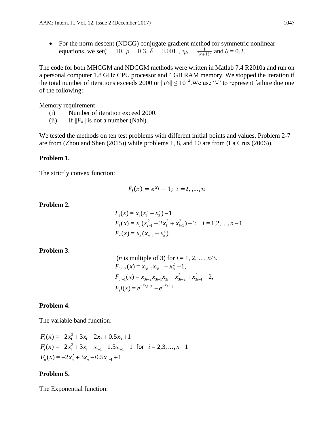• For the norm descent (NDCG) conjugate gradient method for symmetric nonlinear equations, we set $\xi = 10$ ,  $\rho = 0.3$ ,  $\delta = 0.001$ ,  $\eta_k = \frac{1}{(k+1)^2}$  and  $\theta = 0.2$ .

The code for both MHCGM and NDCGM methods were written in Matlab 7.4 R2010a and run on a personal computer 1.8 GHz CPU processor and 4 GB RAM memory. We stopped the iteration if the total number of iterations exceeds 2000 or  $||F_k|| \le 10^{-4}$ . We use "-" to represent failure due one of the following:

Memory requirement

- (i) Number of iteration exceed 2000.
- (ii) If  $||F_k||$  is not a number (NaN).

We tested the methods on ten test problems with different initial points and values. Problem 2-7 are from (Zhou and Shen (2015)) while problems 1, 8, and 10 are from (La Cruz (2006)).

#### **Problem 1.**

The strictly convex function:

$$
F_i(x) = e^{x_i} - 1; \ i = 2, \dots, n
$$

**Problem 2.**

$$
F_1(x) = x_1(x_1^2 + x_2^2) - 1
$$
  
\n
$$
F_i(x) = x_i(x_{i-1}^2 + 2x_i^2 + x_{i+1}^2) - 1; \quad i = 1, 2, ..., n - 1
$$
  
\n
$$
F_n(x) = x_n(x_{n-1} + x_n^2).
$$

**Problem 3.**

(*n* is multiple of 3) for 
$$
i = 1, 2, ..., n/3
$$
.  
\n
$$
F_{3i-2}(x) = x_{3i-2}x_{3i-1} - x_{3i}^2 - 1,
$$
\n
$$
F_{3i-1}(x) = x_{3i-2}x_{3i-1}x_{3i} - x_{3i-2}^2 + x_{3i-1}^2 - 2,
$$
\n
$$
F_3i(x) = e^{-x_{3i-2}} - e^{-x_{3i-1}}
$$

#### **Problem 4.**

The variable band function:

$$
F_1(x) = -2x_1^2 + 3x_1 - 2x_2 + 0.5x_3 + 1
$$
  
\n
$$
F_i(x) = -2x_i^2 + 3x_i - x_{i-1} - 1.5x_{i+1} + 1 \text{ for } i = 2, 3, ..., n-1
$$
  
\n
$$
F_n(x) = -2x_n^2 + 3x_n - 0.5x_{n-1} + 1
$$

#### **Problem 5.**

The Exponential function: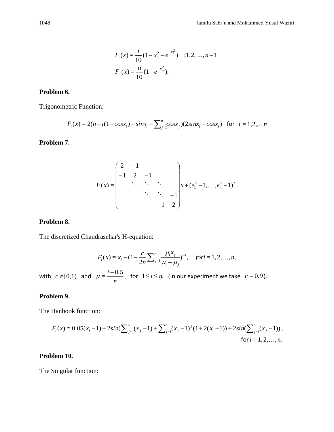$$
F_i(x) = \frac{i}{10} (1 - x_i^2 - e^{-x_i^2}) \quad ; 1, 2, \dots, n-1
$$

$$
F_n(x) = \frac{n}{10} (1 - e^{-x_n^2}).
$$

#### **Problem 6.**

Trigonometric Function:

$$
F_i(x) = 2(n + i(1 - \cos x_i) - \sin x_i - \sum_{j=1}^n \cos x_j)(2\sin x_i - \cos x_i) \text{ for } i = 1, 2, ..., n
$$

## **Problem 7.**

$$
F(x) = \begin{pmatrix} 2 & -1 & & & \\ -1 & 2 & -1 & & \\ & \ddots & \ddots & \ddots & \\ & & \ddots & \ddots & -1 \\ & & & -1 & 2 \end{pmatrix} x + (e_1^x - 1, \dots, e_n^x - 1)^T.
$$

#### **Problem 8.**

The discretized Chandrasehar's H-equation:

$$
F_i(x) = x_i - (1 - \frac{c}{2n} \sum_{j=1}^n \frac{\mu_i x_j}{\mu_i + \mu_j})^{-1}, \quad \text{for } i = 1, 2, \dots, n,
$$

with  $c \in [0,1)$  and  $\mu = \frac{1}{\sqrt{2\pi}}$ ,  $=\frac{i-0.5}{n}$ *i*  $\mu = \frac{1}{\lambda}$ , for  $1 \le i \le n$ . (In our experiment we take  $c = 0.9$ ).

### **Problem 9.**

The Hanbook function:

$$
F_i(x) = 0.05(x_i - 1) + 2\sin(\sum_{j=1}^n (x_j - 1) + \sum_{j=1}^n (x_j - 1)^2 (1 + 2(x_i - 1)) + 2\sin(\sum_{j=1}^n (x_j - 1)),
$$
  
for  $i = 1, 2, ..., n$ .

### **Problem 10.**

The Singular function: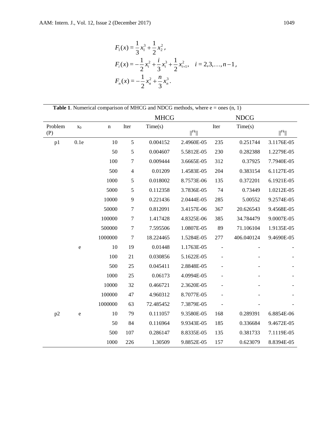$$
F_1(x) = \frac{1}{3}x_1^3 + \frac{1}{2}x_2^2,
$$
  
\n
$$
F_i(x) = -\frac{1}{2}x_i^2 + \frac{i}{3}x_i^3 + \frac{1}{2}x_{i+1}^2, \quad i = 2,3,...,n-1,
$$
  
\n
$$
F_n(x) = -\frac{1}{2}x_n^2 + \frac{n}{3}x_n^3.
$$

**Table 1**. Numerical comparison of MHCG and NDCG methods, where  $e = \text{ones}(n, 1)$ 

|                |                |             |                  | <b>MHCG</b> |                             |      | <b>NDCG</b> |                             |
|----------------|----------------|-------------|------------------|-------------|-----------------------------|------|-------------|-----------------------------|
| Problem<br>(P) | X <sub>0</sub> | $\mathbf n$ | Iter             | Time(s)     | $\vert\vert^{Fk}\vert\vert$ | Iter | Time(s)     | $\vert\vert^{Fk}\vert\vert$ |
| p1             | 0.1e           | 10          | 5                | 0.004152    | 2.4960E-05                  | 235  | 0.251744    | 3.1176E-05                  |
|                |                | 50          | $\sqrt{5}$       | 0.004607    | 5.5812E-05                  | 230  | 0.282388    | 1.2279E-05                  |
|                |                | 100         | $\boldsymbol{7}$ | 0.009444    | 3.6665E-05                  | 312  | 0.37925     | 7.7940E-05                  |
|                |                | 500         | $\overline{4}$   | 0.01209     | 1.4583E-05                  | 204  | 0.383154    | 6.1127E-05                  |
|                |                | 1000        | $\mathfrak s$    | 0.018002    | 8.7573E-06                  | 135  | 0.372201    | 6.1921E-05                  |
|                |                | 5000        | $\sqrt{5}$       | 0.112358    | 3.7836E-05                  | 74   | 0.73449     | 1.0212E-05                  |
|                |                | 10000       | $\overline{9}$   | 0.221436    | 2.0444E-05                  | 285  | 5.00552     | 9.2574E-05                  |
|                |                | 50000       | $\tau$           | 0.812091    | 3.4157E-06                  | 367  | 20.626543   | 9.4568E-05                  |
|                |                | 100000      | $\boldsymbol{7}$ | 1.417428    | 4.8325E-06                  | 385  | 34.784479   | 9.0007E-05                  |
|                |                | 500000      | $\tau$           | 7.595506    | 1.0807E-05                  | 89   | 71.106104   | 1.9135E-05                  |
|                |                | 1000000     | $\boldsymbol{7}$ | 18.224465   | 1.5284E-05                  | 277  | 406.040124  | 9.4690E-05                  |
|                | ${\rm e}$      | 10          | 19               | 0.01448     | 1.1763E-05                  |      |             |                             |
|                |                | 100         | 21               | 0.030856    | 5.1622E-05                  |      |             |                             |
|                |                | 500         | 25               | 0.045411    | 2.8848E-05                  |      |             |                             |
|                |                | 1000        | 25               | 0.06173     | 4.0994E-05                  |      |             |                             |
|                |                | 10000       | 32               | 0.466721    | 2.3620E-05                  |      |             |                             |
|                |                | 100000      | 47               | 4.960312    | 8.7077E-05                  |      |             |                             |
|                |                | 1000000     | 63               | 72.485452   | 7.3879E-05                  |      |             |                             |
| p2             | ${\bf e}$      | 10          | 79               | 0.111057    | 9.3580E-05                  | 168  | 0.289391    | 6.8854E-06                  |
|                |                | 50          | 84               | 0.116964    | 9.9343E-05                  | 185  | 0.336684    | 9.4672E-05                  |
|                |                | 500         | 107              | 0.286147    | 8.8335E-05                  | 135  | 0.381733    | 7.1119E-05                  |
|                |                | 1000        | 226              | 1.30509     | 9.8852E-05                  | 157  | 0.623079    | 8.8394E-05                  |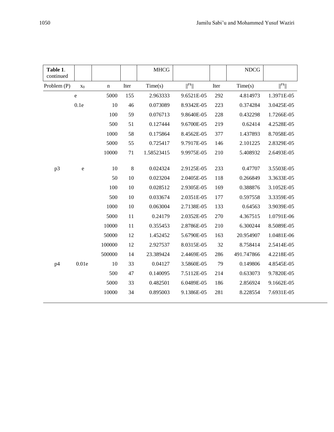| Table 1.<br>continued |                                   |             |         | <b>MHCG</b> |                             |      | <b>NDCG</b> |                             |
|-----------------------|-----------------------------------|-------------|---------|-------------|-----------------------------|------|-------------|-----------------------------|
| Problem (P)           | X <sub>0</sub>                    | $\mathbf n$ | Iter    | Time(s)     | $\vert\vert^{Fk}\vert\vert$ | Iter | Time(s)     | $\vert\vert^{Fk}\vert\vert$ |
|                       | $\rm e$                           | 5000        | 155     | 2.963333    | 9.6521E-05                  | 292  | 4.814973    | 1.3971E-05                  |
|                       | 0.1e                              | 10          | 46      | 0.073089    | 8.9342E-05                  | 223  | 0.374284    | 3.0425E-05                  |
|                       |                                   | 100         | 59      | 0.076713    | 9.8640E-05                  | 228  | 0.432298    | 1.7266E-05                  |
|                       |                                   | 500         | 51      | 0.127444    | 9.6700E-05                  | 219  | 0.62414     | 4.2528E-05                  |
|                       |                                   | 1000        | 58      | 0.175864    | 8.4562E-05                  | 377  | 1.437893    | 8.7058E-05                  |
|                       |                                   | 5000        | 55      | 0.725417    | 9.7917E-05                  | 146  | 2.101225    | 2.8329E-05                  |
|                       |                                   | 10000       | 71      | 1.58523415  | 9.9975E-05                  | 210  | 5.408932    | 2.6493E-05                  |
|                       |                                   |             |         |             |                             |      |             |                             |
| p3                    | $\mathbf{e}% _{t}\left( t\right)$ | 10          | $\,8\,$ | 0.024324    | 2.9125E-05                  | 233  | 0.47707     | 3.5503E-05                  |
|                       |                                   | 50          | 10      | 0.023204    | 2.0405E-05                  | 118  | 0.266849    | 3.3633E-05                  |
|                       |                                   | 100         | 10      | 0.028512    | 2.9305E-05                  | 169  | 0.388876    | 3.1052E-05                  |
|                       |                                   | 500         | 10      | 0.033674    | 2.0351E-05                  | 177  | 0.597558    | 3.3359E-05                  |
|                       |                                   | 1000        | 10      | 0.063004    | 2.7138E-05                  | 133  | 0.64563     | 3.9039E-05                  |
|                       |                                   | 5000        | 11      | 0.24179     | 2.0352E-05                  | 270  | 4.367515    | 1.0791E-06                  |
|                       |                                   | 10000       | 11      | 0.355453    | 2.8786E-05                  | 210  | 6.300244    | 8.5089E-05                  |
|                       |                                   | 50000       | 12      | 1.452452    | 5.6790E-05                  | 163  | 20.954907   | 1.0481E-06                  |
|                       |                                   | 100000      | 12      | 2.927537    | 8.0315E-05                  | 32   | 8.758414    | 2.5414E-05                  |
|                       |                                   | 500000      | 14      | 23.389424   | 2.4469E-05                  | 286  | 491.747866  | 4.2218E-05                  |
| p4                    | 0.01e                             | 10          | 33      | 0.04127     | 3.5860E-05                  | 79   | 0.149806    | 4.8545E-05                  |
|                       |                                   | 500         | 47      | 0.140095    | 7.5112E-05                  | 214  | 0.633073    | 9.7820E-05                  |
|                       |                                   | 5000        | 33      | 0.482501    | 6.0489E-05                  | 186  | 2.856924    | 9.1662E-05                  |
|                       |                                   | 10000       | 34      | 0.895003    | 9.1386E-05                  | 281  | 8.228554    | 7.6931E-05                  |
|                       |                                   |             |         |             |                             |      |             |                             |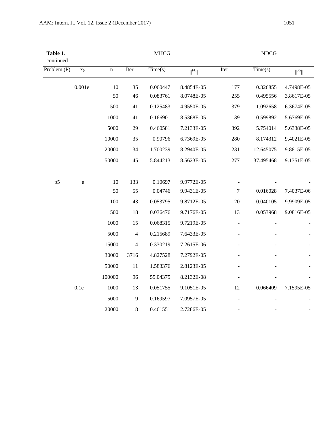| Table 1.<br>continued |                   |             |                | <b>MHCG</b> |                   |                          | <b>NDCG</b> |                             |
|-----------------------|-------------------|-------------|----------------|-------------|-------------------|--------------------------|-------------|-----------------------------|
| Problem (P)           | X <sub>0</sub>    | $\mathbf n$ | Iter           | Time(s)     | $\Vert^{Fk}\Vert$ | Iter                     | Time(s)     | $\vert\vert^{Fk}\vert\vert$ |
|                       | $0.001\mathrm{e}$ | 10          | 35             | 0.060447    | 8.4854E-05        | 177                      | 0.326855    | 4.7498E-05                  |
|                       |                   | 50          | 46             | 0.083761    | 8.0748E-05        | 255                      | 0.495556    | 3.8617E-05                  |
|                       |                   | 500         | 41             | 0.125483    | 4.9550E-05        | 379                      | 1.092658    | 6.3674E-05                  |
|                       |                   | 1000        | 41             | 0.166901    | 8.5368E-05        | 139                      | 0.599892    | 5.6769E-05                  |
|                       |                   | 5000        | 29             | 0.460581    | 7.2133E-05        | 392                      | 5.754014    | 5.6338E-05                  |
|                       |                   | 10000       | 35             | 0.90796     | 6.7369E-05        | 280                      | 8.174312    | 9.4021E-05                  |
|                       |                   | 20000       | 34             | 1.700239    | 8.2940E-05        | 231                      | 12.645075   | 9.8815E-05                  |
|                       |                   | 50000       | 45             | 5.844213    | 8.5623E-05        | 277                      | 37.495468   | 9.1351E-05                  |
|                       |                   |             |                |             |                   |                          |             |                             |
| p <sub>5</sub>        | ${\bf e}$         | 10          | 133            | 0.10697     | 9.9772E-05        |                          |             |                             |
|                       |                   | 50          | 55             | 0.04746     | 9.9431E-05        | $\overline{7}$           | 0.016028    | 7.4037E-06                  |
|                       |                   | 100         | 43             | 0.053795    | 9.8712E-05        | 20                       | 0.040105    | 9.9909E-05                  |
|                       |                   | 500         | 18             | 0.036476    | 9.7176E-05        | 13                       | 0.053968    | 9.0816E-05                  |
|                       |                   | 1000        | 15             | 0.068315    | 9.7219E-05        | $\overline{\phantom{a}}$ |             |                             |
|                       |                   | 5000        | $\overline{4}$ | 0.215689    | 7.6433E-05        |                          |             |                             |
|                       |                   | 15000       | $\overline{4}$ | 0.330219    | 7.2615E-06        |                          |             |                             |
|                       |                   | 30000       | 3716           | 4.827528    | 7.2792E-05        |                          |             |                             |
|                       |                   | 50000       | 11             | 1.583376    | 2.8123E-05        |                          |             |                             |
|                       |                   | 100000      | 96             | 55.04375    | 8.2132E-08        |                          |             |                             |
|                       | 0.1e              | 1000        | 13             | 0.051755    | 9.1051E-05        | 12                       | 0.066409    | 7.1595E-05                  |
|                       |                   | 5000        | 9              | 0.169597    | 7.0957E-05        |                          |             |                             |
|                       |                   | 20000       | 8              | 0.461551    | 2.7286E-05        |                          |             |                             |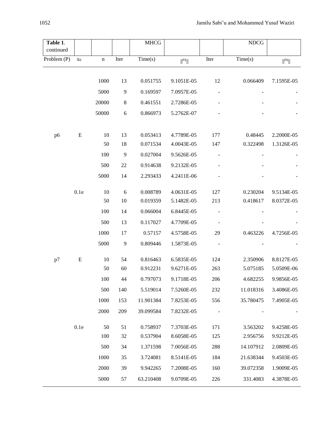| Table 1.    |                |             |            | <b>MHCG</b> |                             |                          | ${\rm NDCG}$ |                             |
|-------------|----------------|-------------|------------|-------------|-----------------------------|--------------------------|--------------|-----------------------------|
| continued   |                |             |            |             |                             |                          |              |                             |
| Problem (P) | X <sub>0</sub> | $\mathbf n$ | Iter       | Time(s)     | $\vert\vert^{Fk}\vert\vert$ | Iter                     | Time(s)      | $\vert\vert^{Fk}\vert\vert$ |
|             |                |             |            |             |                             |                          |              |                             |
|             |                | 1000        | 13         | 0.051755    | 9.1051E-05                  | 12                       | 0.066409     | 7.1595E-05                  |
|             |                | 5000        | 9          | 0.169597    | 7.0957E-05                  |                          |              |                             |
|             |                | 20000       | $\,8\,$    | 0.461551    | 2.7286E-05                  |                          |              |                             |
|             |                | 50000       | 6          | 0.866973    | 5.2762E-07                  |                          |              |                             |
|             |                |             |            |             |                             |                          |              |                             |
| p6          | ${\bf E}$      | 10          | 13         | 0.053413    | 4.7789E-05                  | 177                      | 0.48445      | 2.2000E-05                  |
|             |                | 50          | 18         | 0.071534    | 4.0043E-05                  | 147                      | 0.322498     | 1.3126E-05                  |
|             |                | 100         | 9          | 0.027004    | 9.5626E-05                  |                          |              |                             |
|             |                | 500         | 22         | 0.914638    | 9.2132E-05                  |                          |              |                             |
|             |                | 5000        | 14         | 2.293433    | 4.2411E-06                  |                          |              |                             |
|             |                |             |            |             |                             |                          |              |                             |
|             | 0.1e           | 10          | $\sqrt{6}$ | 0.008789    | 4.0631E-05                  | 127                      | 0.230204     | 9.5134E-05                  |
|             |                | 50          | 10         | 0.019359    | 5.1482E-05                  | 213                      | 0.418617     | 8.0372E-05                  |
|             |                | 100         | 14         | 0.066004    | 6.8445E-05                  |                          |              |                             |
|             |                | 500         | 13         | 0.117027    | 4.7709E-05                  |                          |              |                             |
|             |                | 1000        | 17         | 0.57157     | 4.5758E-05                  | 29                       | 0.463226     | 4.7256E-05                  |
|             |                | 5000        | 9          | 0.809446    | 1.5873E-05                  | $\overline{\phantom{0}}$ |              |                             |
| p7          | ${\bf E}$      | 10          | 54         | 0.816463    | 6.5835E-05                  | 124                      | 2.350906     | 8.8127E-05                  |
|             |                | 50          | 60         | 0.912231    | 9.6271E-05                  | 263                      | 5.075185     | 5.0509E-06                  |
|             |                | 100         | 44         | 0.797073    | 9.1718E-05                  | 206                      | 4.682255     | 9.9856E-05                  |
|             |                | 500         | 140        | 5.519014    | 7.5260E-05                  | 232                      | 11.018316    | 3.4086E-05                  |
|             |                | 1000        | 153        | 11.901384   | 7.8253E-05                  | 556                      | 35.780475    | 7.4905E-05                  |
|             |                | 2000        | 209        | 39.099584   | 7.8232E-05                  | $\blacksquare$           |              |                             |
|             |                |             |            |             |                             |                          |              |                             |
|             | 0.1e           | 50          | 51         | 0.758937    | 7.3703E-05                  | 171                      | 3.563202     | 9.4258E-05                  |
|             |                | 100         | 32         | 0.537904    | 8.6058E-05                  | 125                      | 2.956756     | 9.9212E-05                  |
|             |                | 500         | 34         | 1.371598    | 7.0056E-05                  | 288                      | 14.107912    | 2.0809E-05                  |
|             |                | 1000        | 35         | 3.724081    | 8.5141E-05                  | 184                      | 21.638344    | 9.4503E-05                  |
|             |                | 2000        | 39         | 9.942265    | 7.2008E-05                  | 160                      | 39.072358    | 1.9009E-05                  |
|             |                | 5000        | 57         | 63.210408   | 9.0709E-05                  | 226                      | 331.4083     | 4.3878E-05                  |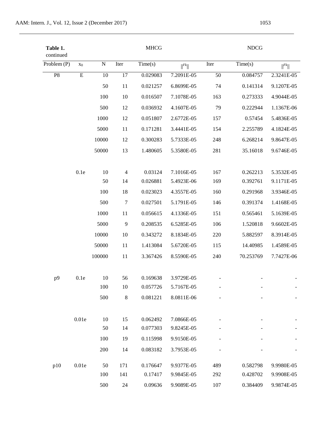| Table 1.<br>continued |             |           |                | <b>MHCG</b> |                             |      | <b>NDCG</b> |                             |
|-----------------------|-------------|-----------|----------------|-------------|-----------------------------|------|-------------|-----------------------------|
| Problem (P)           | $x_0$       | ${\bf N}$ | Iter           | Time(s)     | $\vert\vert^{Fk}\vert\vert$ | Iter | Time(s)     | $\vert\vert^{Fk}\vert\vert$ |
| P8                    | $\mathbf E$ | 10        | 17             | 0.029083    | 7.2091E-05                  | 50   | 0.084757    | 2.3241E-05                  |
|                       |             | 50        | 11             | 0.021257    | 6.8699E-05                  | 74   | 0.141314    | 9.1207E-05                  |
|                       |             | 100       | 10             | 0.016507    | 7.1078E-05                  | 163  | 0.273333    | 4.9044E-05                  |
|                       |             | 500       | 12             | 0.036932    | 4.1607E-05                  | 79   | 0.222944    | 1.1367E-06                  |
|                       |             | 1000      | 12             | 0.051807    | 2.6772E-05                  | 157  | 0.57454     | 5.4836E-05                  |
|                       |             | 5000      | 11             | 0.171281    | 3.4441E-05                  | 154  | 2.255789    | 4.1824E-05                  |
|                       |             | 10000     | 12             | 0.300283    | 5.7333E-05                  | 248  | 6.268214    | 9.8647E-05                  |
|                       |             | 50000     | 13             | 1.480605    | 5.3580E-05                  | 281  | 35.16018    | 9.6746E-05                  |
|                       | 0.1e        | 10        | $\overline{4}$ | 0.03124     | 7.1016E-05                  | 167  | 0.262213    | 5.3532E-05                  |
|                       |             | 50        | 14             | 0.026881    | 5.4923E-06                  | 169  | 0.392761    | 9.1171E-05                  |
|                       |             | 100       | 18             | 0.023023    | 4.3557E-05                  | 160  | 0.291968    | 3.9346E-05                  |
|                       |             | 500       | $\tau$         | 0.027501    | 5.1791E-05                  | 146  | 0.391374    | 1.4168E-05                  |
|                       |             | 1000      | 11             | 0.056615    | 4.1336E-05                  | 151  | 0.565461    | 5.1639E-05                  |
|                       |             | 5000      | 9              | 0.208535    | 6.5285E-05                  | 106  | 1.520818    | 9.6602E-05                  |
|                       |             | 10000     | 10             | 0.343272    | 8.1834E-05                  | 220  | 5.882597    | 8.3914E-05                  |
|                       |             | 50000     | 11             | 1.413084    | 5.6720E-05                  | 115  | 14.40985    | 1.4589E-05                  |
|                       |             | 100000    | 11             | 3.367426    | 8.5590E-05                  | 240  | 70.253769   | 7.7427E-06                  |
| p9                    | 0.1e        | 10        | 56             | 0.169638    | 3.9729E-05                  |      |             |                             |
|                       |             | 100       | 10             | 0.057726    | 5.7167E-05                  |      |             |                             |
|                       |             | 500       | $\,8\,$        | 0.081221    | 8.0811E-06                  |      |             |                             |
|                       | 0.01e       | 10        | 15             | 0.062492    | 7.0866E-05                  |      |             |                             |
|                       |             | 50        | 14             | 0.077303    | 9.8245E-05                  |      |             |                             |
|                       |             | 100       | 19             | 0.115998    | 9.9150E-05                  |      |             |                             |
|                       |             | 200       | 14             | 0.083182    | 3.7953E-05                  |      |             |                             |
| p10                   | 0.01e       | 50        | 171            | 0.176647    | 9.9377E-05                  | 489  | 0.582798    | 9.9980E-05                  |
|                       |             | 100       | 141            | 0.17417     | 9.9845E-05                  | 292  | 0.428702    | 9.9908E-05                  |
|                       |             | 500       | 24             | 0.09636     | 9.9089E-05                  | 107  | 0.384409    | 9.9874E-05                  |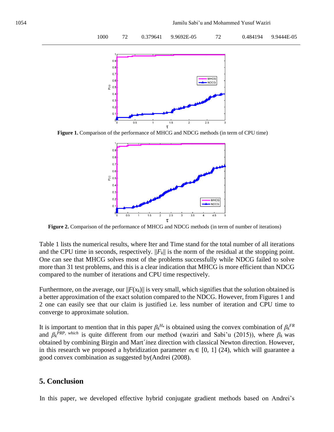

 **Figure 1.** Comparison of the performance of MHCG and NDCG methods (in term of CPU time)



 **Figure 2.** Comparison of the performance of MHCG and NDCG methods (in term of number of iterations)

Table 1 lists the numerical results, where Iter and Time stand for the total number of all iterations and the CPU time in seconds, respectively.  $||F_k||$  is the norm of the residual at the stopping point. One can see that MHCG solves most of the problems successfully while NDCG failed to solve more than 31 test problems, and this is a clear indication that MHCG is more efficient than NDCG compared to the number of iterations and CPU time respectively.

Furthermore, on the average, our  $||F(x_k)||$  is very small, which signifies that the solution obtained is a better approximation of the exact solution compared to the NDCG. However, from Figures 1 and 2 one can easily see that our claim is justified i.e. less number of iteration and CPU time to converge to approximate solution.

It is important to mention that in this paper  $\beta_k^{H_*}$  is obtained using the convex combination of  $\beta_k^{FR}$ and  $\beta_k$ <sup>*PRP, which* is quite different from our method (waziri and Sabi'u (2015)), where  $\beta_k$  was</sup> obtained by combining Birgin and Mart´*i*nez direction with classical Newton direction. However, in this research we proposed a hybridization parameter  $\sigma_k \in [0, 1]$  (24), which will guarantee a good convex combination as suggested by(Andrei (2008).

## **5. Conclusion**

In this paper, we developed effective hybrid conjugate gradient methods based on Andrei's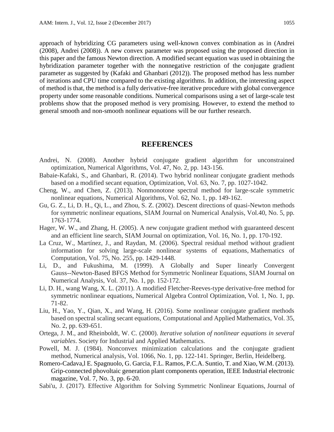approach of hybridizing CG parameters using well-known convex combination as in (Andrei (2008), Andrei (2008)). A new convex parameter was proposed using the proposed direction in this paper and the famous Newton direction. A modified secant equation was used in obtaining the hybridization parameter together with the nonnegative restriction of the conjugate gradient parameter as suggested by (Kafaki and Ghanbari (2012)). The proposed method has less number of iterations and CPU time compared to the existing algorithms. In addition, the interesting aspect of method is that, the method is a fully derivative-free iterative procedure with global convergence property under some reasonable conditions. Numerical comparisons using a set of large-scale test problems show that the proposed method is very promising. However, to extend the method to general smooth and non-smooth nonlinear equations will be our further research.

#### **REFERENCES**

- Andrei, N. (2008). Another hybrid conjugate gradient algorithm for unconstrained optimization, Numerical Algorithms, Vol. 47, No. 2, pp. 143-156.
- Babaie-Kafaki, S., and Ghanbari, R. (2014). Two hybrid nonlinear conjugate gradient methods based on a modified secant equation, Optimization, Vol. 63, No. 7, pp. 1027-1042.
- Cheng, W., and Chen, Z. (2013). Nonmonotone spectral method for large-scale symmetric nonlinear equations, Numerical Algorithms, Vol. 62, No. 1, pp. 149-162.
- Gu, G. Z., Li, D. H., Qi, L., and Zhou, S. Z. (2002). Descent directions of quasi-Newton methods for symmetric nonlinear equations, SIAM Journal on Numerical Analysis, Vol.40, No. 5, pp. 1763-1774.
- Hager, W. W., and Zhang, H. (2005). A new conjugate gradient method with guaranteed descent and an efficient line search, SIAM Journal on optimization, Vol. 16, No. 1, pp. 170-192.
- La Cruz, W., Martínez, J., and Raydan, M. (2006). Spectral residual method without gradient information for solving large-scale nonlinear systems of equations, Mathematics of Computation, Vol. 75, No. 255, pp. 1429-1448.
- Li, D., and Fukushima, M. (1999). A Globally and Super linearly Convergent Gauss--Newton-Based BFGS Method for Symmetric Nonlinear Equations, SIAM Journal on Numerical Analysis, Vol. 37, No. 1, pp. 152-172.
- Li, D. H., wang Wang, X. L. (2011). A modified Fletcher-Reeves-type derivative-free method for symmetric nonlinear equations, Numerical Algebra Control Optimization, Vol. 1, No. 1, pp. 71-82.
- Liu, H., Yao, Y., Qian, X., and Wang, H. (2016). Some nonlinear conjugate gradient methods based on spectral scaling secant equations, Computational and Applied Mathematics, Vol. 35, No. 2, pp. 639-651.
- Ortega, J. M., and Rheinboldt, W. C. (2000). *Iterative solution of nonlinear equations in several variables*. Society for Industrial and Applied Mathematics.
- Powell, M. J. (1984). Nonconvex minimization calculations and the conjugate gradient method, Numerical analysis, Vol. 1066, No. 1, pp. 122-141. Springer, Berlin, Heidelberg.
- Romero-Cadava,l E. Spagnuolo, G. Garcia, F.L. Ramos, P.C.A. Suntio, T. and Xiao, W.M. (2013). Grip-connected phovoltaic generation plant components operation, IEEE Industrial electronic magazine, Vol. 7, No. 3, pp. 6-20.
- Sabi'u, J. (2017). Effective Algorithm for Solving Symmetric Nonlinear Equations, Journal of